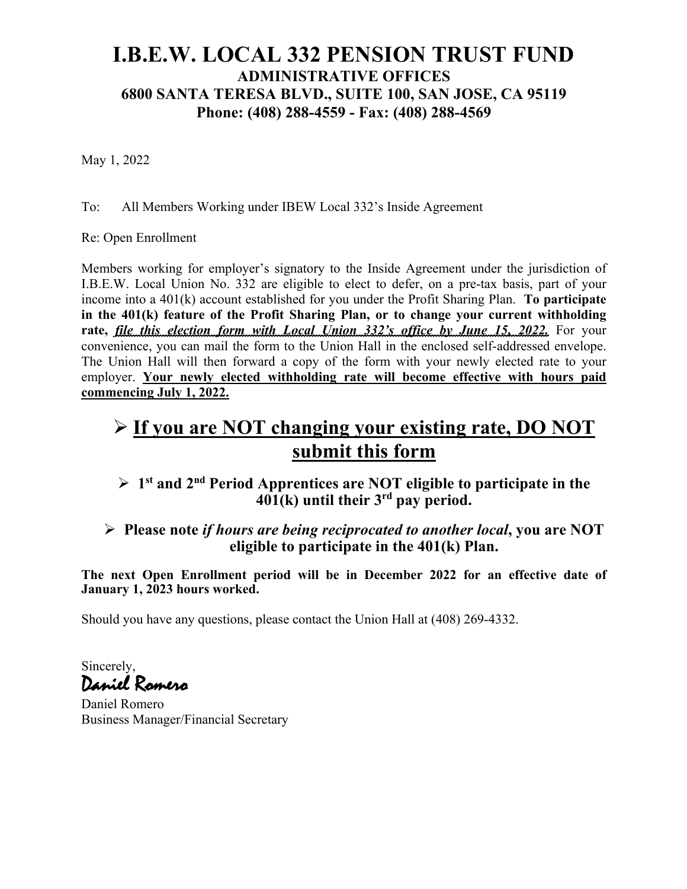## **I.B.E.W. LOCAL 332 PENSION TRUST FUND ADMINISTRATIVE OFFICES 6800 SANTA TERESA BLVD., SUITE 100, SAN JOSE, CA 95119 Phone: (408) 288-4559 - Fax: (408) 288-4569**

May 1, 2022

To: All Members Working under IBEW Local 332's Inside Agreement

Re: Open Enrollment

Members working for employer's signatory to the Inside Agreement under the jurisdiction of I.B.E.W. Local Union No. 332 are eligible to elect to defer, on a pre-tax basis, part of your income into a 401(k) account established for you under the Profit Sharing Plan. **To participate in the 401(k) feature of the Profit Sharing Plan, or to change your current withholding rate,** *file this election form with Local Union 332's office by June 15, 2022.* For your convenience, you can mail the form to the Union Hall in the enclosed self-addressed envelope. The Union Hall will then forward a copy of the form with your newly elected rate to your employer. **Your newly elected withholding rate will become effective with hours paid commencing July 1, 2022.**

# Ø **If you are NOT changing your existing rate, DO NOT submit this form**

Ø **1st and 2nd Period Apprentices are NOT eligible to participate in the 401(k) until their 3rd pay period.**

Ø **Please note** *if hours are being reciprocated to another local***, you are NOT eligible to participate in the 401(k) Plan.**

**The next Open Enrollment period will be in December 2022 for an effective date of January 1, 2023 hours worked.**

Should you have any questions, please contact the Union Hall at (408) 269-4332.

Sincerely, Daniel Romero

Daniel Romero Business Manager/Financial Secretary